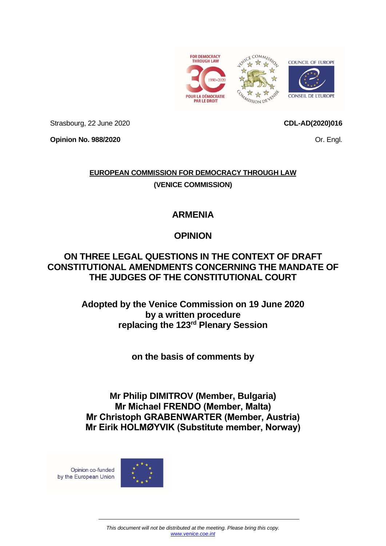

Strasbourg, 22 June 2020

**Opinion No. 988/2020**

# **EUROPEAN COMMISSION FOR DEMOCRACY THROUGH LAW (VENICE COMMISSION)**

## **ARMENIA**

# **OPINION**

## **ON THREE LEGAL QUESTIONS IN THE CONTEXT OF DRAFT CONSTITUTIONAL AMENDMENTS CONCERNING THE MANDATE OF THE JUDGES OF THE CONSTITUTIONAL COURT**

**Adopted by the Venice Commission on 19 June 2020 by a written procedure replacing the 123rd Plenary Session**

**on the basis of comments by**

**Mr Philip DIMITROV (Member, Bulgaria) Mr Michael FRENDO (Member, Malta) Mr Christoph GRABENWARTER (Member, Austria) Mr Eirik HOLMØYVIK (Substitute member, Norway)**

Opinion co-funded by the European Union



### **CDL-AD(2020)016**

Or. Engl.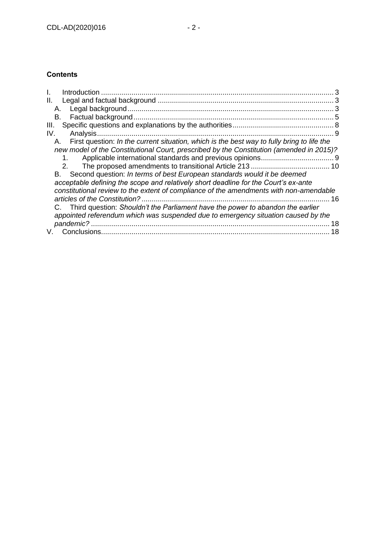### **Contents**

| Ш.                                                                                               |    |
|--------------------------------------------------------------------------------------------------|----|
| Α.                                                                                               |    |
| В.                                                                                               |    |
| III.                                                                                             |    |
| Analysis<br>IV.                                                                                  |    |
| First question: In the current situation, which is the best way to fully bring to life the<br>А. |    |
| new model of the Constitutional Court, prescribed by the Constitution (amended in 2015)?         |    |
|                                                                                                  |    |
|                                                                                                  |    |
| Second question: In terms of best European standards would it be deemed<br>B.                    |    |
| acceptable defining the scope and relatively short deadline for the Court's ex-ante              |    |
| constitutional review to the extent of compliance of the amendments with non-amendable           |    |
| articles of the Constitution?                                                                    | 16 |
| C. Third question: Shouldn't the Parliament have the power to abandon the earlier                |    |
| appointed referendum which was suspended due to emergency situation caused by the                |    |
|                                                                                                  | 18 |
|                                                                                                  | 18 |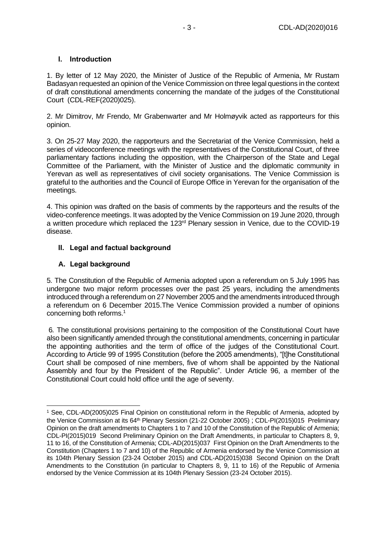#### <span id="page-2-0"></span>**I. Introduction**

1. By letter of 12 May 2020, the Minister of Justice of the Republic of Armenia, Mr Rustam Badasyan requested an opinion of the Venice Commission on three legal questions in the context of draft constitutional amendments concerning the mandate of the judges of the Constitutional Court (CDL-REF(2020)025).

2. Mr Dimitrov, Mr Frendo, Mr Grabenwarter and Mr Holmøyvik acted as rapporteurs for this opinion.

3. On 25-27 May 2020, the rapporteurs and the Secretariat of the Venice Commission, held a series of videoconference meetings with the representatives of the Constitutional Court, of three parliamentary factions including the opposition, with the Chairperson of the State and Legal Committee of the Parliament, with the Minister of Justice and the diplomatic community in Yerevan as well as representatives of civil society organisations. The Venice Commission is grateful to the authorities and the Council of Europe Office in Yerevan for the organisation of the meetings.

4. This opinion was drafted on the basis of comments by the rapporteurs and the results of the video-conference meetings. It was adopted by the Venice Commission on 19 June 2020, through a written procedure which replaced the 123<sup>rd</sup> Plenary session in Venice, due to the COVID-19 disease.

#### <span id="page-2-1"></span>**II. Legal and factual background**

#### <span id="page-2-2"></span>**A. Legal background**

5*.* The Constitution of the Republic of Armenia adopted upon a referendum on 5 July 1995 has undergone two major reform processes over the past 25 years, including the amendments introduced through a referendum on 27 November 2005 and the amendments introduced through a referendum on 6 December 2015.The Venice Commission provided a number of opinions concerning both reforms.<sup>1</sup>

6*.* The constitutional provisions pertaining to the composition of the Constitutional Court have also been significantly amended through the constitutional amendments, concerning in particular the appointing authorities and the term of office of the judges of the Constitutional Court. According to Article 99 of 1995 Constitution (before the 2005 amendments), "[t]he Constitutional Court shall be composed of nine members, five of whom shall be appointed by the National Assembly and four by the President of the Republic". Under Article 96, a member of the Constitutional Court could hold office until the age of seventy.

<sup>1</sup> See, CDL-AD(2005)025 Final Opinion on constitutional reform in the Republic of Armenia, adopted by the Venice Commission at its 64<sup>th</sup> Plenary Session (21-22 October 2005) ; CDL-PI(2015)015 Preliminary [Opinion on the draft amendments to Chapters 1 to 7 and 10 of the Constitution of the Republic of Armenia;](https://www.venice.coe.int/webforms/documents/?pdf=CDL-PI(2015)015rev-arm) CDL-PI(2015)019 [Second Preliminary Opinion on the Draft Amendments, in particular to Chapters 8, 9,](https://www.venice.coe.int/webforms/documents/?pdf=CDL-PI(2015)019-e)  [11 to 16, of the Constitution](https://www.venice.coe.int/webforms/documents/?pdf=CDL-PI(2015)019-e) of Armenia; CDL-AD(2015)037 [First Opinion on the Draft Amendments to the](https://www.venice.coe.int/webforms/documents/?pdf=CDL-AD(2015)037-e)  [Constitution \(Chapters 1 to 7 and 10\) of the Republic of Armenia endorsed by the Venice Commission at](https://www.venice.coe.int/webforms/documents/?pdf=CDL-AD(2015)037-e)  [its 104th Plenary Session \(23-24 October 2015\)](https://www.venice.coe.int/webforms/documents/?pdf=CDL-AD(2015)037-e) and CDL-AD(2015)038 [Second Opinion on the Draft](https://www.venice.coe.int/webforms/documents/?pdf=CDL-AD(2015)038-e)  [Amendments to the Constitution \(in particular to Chapters 8, 9, 11 to](https://www.venice.coe.int/webforms/documents/?pdf=CDL-AD(2015)038-e) 16) of the Republic of Armenia [endorsed by the Venice Commission at its 104th Plenary Session \(23-24 October 2015\).](https://www.venice.coe.int/webforms/documents/?pdf=CDL-AD(2015)038-e)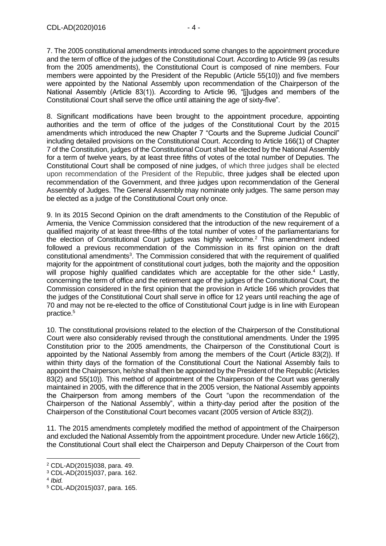7. The 2005 constitutional amendments introduced some changes to the appointment procedure and the term of office of the judges of the Constitutional Court. According to Article 99 (as results from the 2005 amendments), the Constitutional Court is composed of nine members. Four members were appointed by the President of the Republic (Article 55(10)) and five members were appointed by the National Assembly upon recommendation of the Chairperson of the National Assembly (Article 83(1)). According to Article 96, "[j]udges and members of the Constitutional Court shall serve the office until attaining the age of sixty-five".

8. Significant modifications have been brought to the appointment procedure, appointing authorities and the term of office of the judges of the Constitutional Court by the 2015 amendments which introduced the new Chapter 7 "Courts and the Supreme Judicial Council" including detailed provisions on the Constitutional Court. According to Article 166(1) of Chapter 7 of the Constitution, judges of the Constitutional Court shall be elected by the National Assembly for a term of twelve years, by at least three fifths of votes of the total number of Deputies. The Constitutional Court shall be composed of nine judges, of which three judges shall be elected upon recommendation of the President of the Republic, three judges shall be elected upon recommendation of the Government, and three judges upon recommendation of the General Assembly of Judges. The General Assembly may nominate only judges. The same person may be elected as a judge of the Constitutional Court only once.

9. In its 2015 Second Opinion on the draft amendments to the Constitution of the Republic of Armenia, the Venice Commission considered that the introduction of the new requirement of a qualified majority of at least three-fifths of the total number of votes of the parliamentarians for the election of Constitutional Court judges was highly welcome.<sup>2</sup> This amendment indeed followed a previous recommendation of the Commission in its first opinion on the draft constitutional amendments<sup>3</sup>. The Commission considered that with the requirement of qualified majority for the appointment of constitutional court judges, both the majority and the opposition will propose highly qualified candidates which are acceptable for the other side.<sup>4</sup> Lastly, concerning the term of office and the retirement age of the judges of the Constitutional Court, the Commission considered in the first opinion that the provision in Article 166 which provides that the judges of the Constitutional Court shall serve in office for 12 years until reaching the age of 70 and may not be re-elected to the office of Constitutional Court judge is in line with European practice.<sup>5</sup>

10. The constitutional provisions related to the election of the Chairperson of the Constitutional Court were also considerably revised through the constitutional amendments. Under the 1995 Constitution prior to the 2005 amendments, the Chairperson of the Constitutional Court is appointed by the National Assembly from among the members of the Court (Article 83(2)). If within thirty days of the formation of the Constitutional Court the National Assembly fails to appoint the Chairperson, he/she shall then be appointed by the President of the Republic (Articles 83(2) and 55(10)). This method of appointment of the Chairperson of the Court was generally maintained in 2005, with the difference that in the 2005 version, the National Assembly appoints the Chairperson from among members of the Court "upon the recommendation of the Chairperson of the National Assembly", within a thirty-day period after the position of the Chairperson of the Constitutional Court becomes vacant (2005 version of Article 83(2)).

11. The 2015 amendments completely modified the method of appointment of the Chairperson and excluded the National Assembly from the appointment procedure. Under new Article 166(2), the Constitutional Court shall elect the Chairperson and Deputy Chairperson of the Court from

<sup>2</sup> CDL-AD(2015)038, para. 49.

<sup>3</sup> CDL-AD(2015)037, para. 162.

<sup>4</sup> *Ibid.*

<sup>5</sup> CDL-AD(2015)037, para. 165.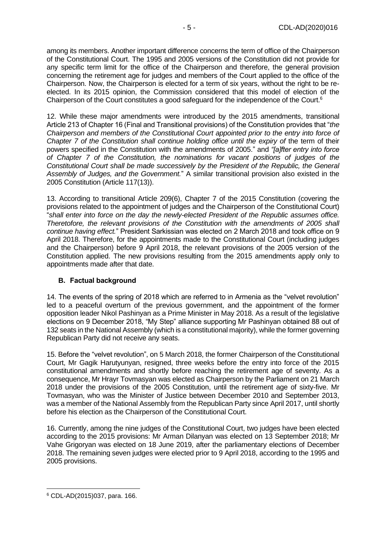among its members. Another important difference concerns the term of office of the Chairperson of the Constitutional Court. The 1995 and 2005 versions of the Constitution did not provide for any specific term limit for the office of the Chairperson and therefore, the general provision concerning the retirement age for judges and members of the Court applied to the office of the Chairperson. Now, the Chairperson is elected for a term of six years, without the right to be reelected. In its 2015 opinion, the Commission considered that this model of election of the Chairperson of the Court constitutes a good safeguard for the independence of the Court.<sup>6</sup>

12. While these major amendments were introduced by the 2015 amendments, transitional Article 213 of Chapter 16 (Final and Transitional provisions) of the Constitution provides that "*the Chairperson and members of the Constitutional Court appointed prior to the entry into force of Chapter 7 of the Constitution shall continue holding office until the expiry of the term of their* powers specified in the Constitution with the amendments of 2005." and *"[a]fter entry into force of Chapter 7 of the Constitution, the nominations for vacant positions of judges of the Constitutional Court shall be made successively by the President of the Republic, the General Assembly of Judges, and the Government.*" A similar transitional provision also existed in the 2005 Constitution (Article 117(13)).

13. According to transitional Article 209(6), Chapter 7 of the 2015 Constitution (covering the provisions related to the appointment of judges and the Chairperson of the Constitutional Court) "*shall enter into force on the day the newly-elected President of the Republic assumes office. Theretofore, the relevant provisions of the Constitution with the amendments of 2005 shall continue having effect.*" President Sarkissian was elected on 2 March 2018 and took office on 9 April 2018. Therefore, for the appointments made to the Constitutional Court (including judges and the Chairperson) before 9 April 2018, the relevant provisions of the 2005 version of the Constitution applied. The new provisions resulting from the 2015 amendments apply only to appointments made after that date.

#### <span id="page-4-0"></span>**B. Factual background**

14. The events of the spring of 2018 which are referred to in Armenia as the "velvet revolution" led to a peaceful overturn of the previous government, and the appointment of the former opposition leader Nikol Pashinyan as a Prime Minister in May 2018. As a result of the legislative elections on 9 December 2018, "My Step" alliance supporting Mr Pashinyan obtained 88 out of 132 seats in the National Assembly (which is a constitutional majority), while the former governing Republican Party did not receive any seats.

15. Before the "velvet revolution", on 5 March 2018, the former Chairperson of the Constitutional Court, Mr Gagik Harutyunyan, resigned, three weeks before the entry into force of the 2015 constitutional amendments and shortly before reaching the retirement age of seventy. As a consequence, Mr Hrayr Tovmasyan was elected as Chairperson by the Parliament on 21 March 2018 under the provisions of the 2005 Constitution, until the retirement age of sixty-five. Mr Tovmasyan, who was the Minister of Justice between December 2010 and September 2013, was a member of the National Assembly from the Republican Party since April 2017, until shortly before his election as the Chairperson of the Constitutional Court.

16. Currently, among the nine judges of the Constitutional Court, two judges have been elected according to the 2015 provisions: Mr Arman Dilanyan was elected on 13 September 2018; Mr Vahe Grigoryan was elected on 18 June 2019, after the parliamentary elections of December 2018. The remaining seven judges were elected prior to 9 April 2018, according to the 1995 and 2005 provisions.

<sup>6</sup> CDL-AD(2015)037, para. 166.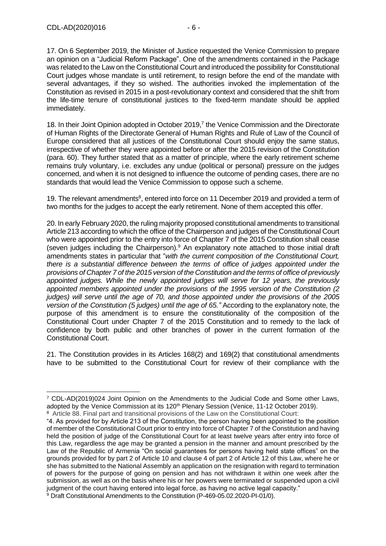17. On 6 September 2019, the Minister of Justice requested the Venice Commission to prepare an opinion on a "Judicial Reform Package". One of the amendments contained in the Package was related to the Law on the Constitutional Court and introduced the possibility for Constitutional Court judges whose mandate is until retirement, to resign before the end of the mandate with several advantages, if they so wished. The authorities invoked the implementation of the Constitution as revised in 2015 in a post-revolutionary context and considered that the shift from the life-time tenure of constitutional justices to the fixed-term mandate should be applied immediately.

18. In their Joint Opinion adopted in October 2019,<sup>7</sup> the Venice Commission and the Directorate of Human Rights of the Directorate General of Human Rights and Rule of Law of the Council of Europe considered that all justices of the Constitutional Court should enjoy the same status, irrespective of whether they were appointed before or after the 2015 revision of the Constitution (para. 60). They further stated that as a matter of principle, where the early retirement scheme remains truly voluntary, i.e. excludes any undue (political or personal) pressure on the judges concerned, and when it is not designed to influence the outcome of pending cases, there are no standards that would lead the Venice Commission to oppose such a scheme.

19. The relevant amendments<sup>8</sup>, entered into force on 11 December 2019 and provided a term of two months for the judges to accept the early retirement. None of them accepted this offer.

20. In early February 2020, the ruling majority proposed constitutional amendments to transitional Article 213 according to which the office of the Chairperson and judges of the Constitutional Court who were appointed prior to the entry into force of Chapter 7 of the 2015 Constitution shall cease (seven judges including the Chairperson).<sup>9</sup> An explanatory note attached to those initial draft amendments states in particular that "*with the current composition of the Constitutional Court, there is a substantial difference between the terms of office of judges appointed under the provisions of Chapter 7 of the 2015 version of the Constitution and the terms of office of previously appointed judges. While the newly appointed judges will serve for 12 years, the previously appointed members appointed under the provisions of the 1995 version of the Constitution (2 judges) will serve until the age of 70, and those appointed under the provisions of the 2005 version of the Constitution (5 judges) until the age of 65."* According to the explanatory note, the purpose of this amendment is to ensure the constitutionality of the composition of the Constitutional Court under Chapter 7 of the 2015 Constitution and to remedy to the lack of confidence by both public and other branches of power in the current formation of the Constitutional Court.

21. The Constitution provides in its Articles 168(2) and 169(2) that constitutional amendments have to be submitted to the Constitutional Court for review of their compliance with the

<sup>7</sup> CDL-AD(2019)024 Joint Opinion on the Amendments to the Judicial Code and Some other Laws, adopted by the Venice Commission at its 120<sup>th</sup> Plenary Session (Venice, 11-12 October 2019).

<sup>&</sup>lt;sup>8</sup> Article 88. Final part and transitional provisions of the Law on the Constitutional Court:

<sup>&</sup>quot;4. As provided for by Article 213 of the Constitution, the person having been appointed to the position of member of the Constitutional Court prior to entry into force of Chapter 7 of the Constitution and having held the position of judge of the Constitutional Court for at least twelve years after entry into force of this Law, regardless the age may be granted a pension in the manner and amount prescribed by the Law of the Republic of Armenia "On social guarantees for persons having held state offices" on the grounds provided for by part 2 of Article 10 and clause 4 of part 2 of Article 12 of this Law, where he or she has submitted to the National Assembly an application on the resignation with regard to termination of powers for the purpose of going on pension and has not withdrawn it within one week after the submission, as well as on the basis where his or her powers were terminated or suspended upon a civil judgment of the court having entered into legal force, as having no active legal capacity." <sup>9</sup> Draft Constitutional Amendments to the Constitution (P-469-05.02.2020-PI-01/0).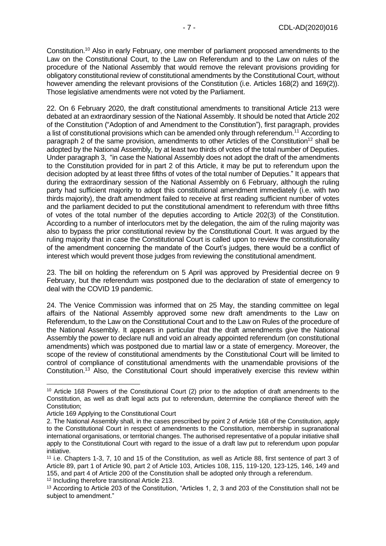Constitution.<sup>10</sup> Also in early February, one member of parliament proposed amendments to the Law on the Constitutional Court, to the Law on Referendum and to the Law on rules of the procedure of the National Assembly that would remove the relevant provisions providing for obligatory constitutional review of constitutional amendments by the Constitutional Court, without however amending the relevant provisions of the Constitution (i.e. Articles 168(2) and 169(2)). Those legislative amendments were not voted by the Parliament.

22. On 6 February 2020, the draft constitutional amendments to transitional Article 213 were debated at an extraordinary session of the National Assembly. It should be noted that Article 202 of the Constitution ("Adoption of and Amendment to the Constitution"), first paragraph, provides a list of constitutional provisions which can be amended only through referendum.<sup>11</sup> According to paragraph 2 of the same provision, amendments to other Articles of the Constitution<sup>12</sup> shall be adopted by the National Assembly, by at least two thirds of votes of the total number of Deputies. Under paragraph 3, "in case the National Assembly does not adopt the draft of the amendments to the Constitution provided for in part 2 of this Article, it may be put to referendum upon the decision adopted by at least three fifths of votes of the total number of Deputies." It appears that during the extraordinary session of the National Assembly on 6 February, although the ruling party had sufficient majority to adopt this constitutional amendment immediately (i.e. with two thirds majority), the draft amendment failed to receive at first reading sufficient number of votes and the parliament decided to put the constitutional amendment to referendum with three fifths of votes of the total number of the deputies according to Article 202(3) of the Constitution. According to a number of interlocutors met by the delegation, the aim of the ruling majority was also to bypass the prior constitutional review by the Constitutional Court. It was argued by the ruling majority that in case the Constitutional Court is called upon to review the constitutionality of the amendment concerning the mandate of the Court's judges, there would be a conflict of interest which would prevent those judges from reviewing the constitutional amendment.

23. The bill on holding the referendum on 5 April was approved by Presidential decree on 9 February, but the referendum was postponed due to the declaration of state of emergency to deal with the COVID 19 pandemic.

24. The Venice Commission was informed that on 25 May, the standing committee on legal affairs of the National Assembly approved some new draft amendments to the Law on Referendum, to the Law on the Constitutional Court and to the Law on Rules of the procedure of the National Assembly. It appears in particular that the draft amendments give the National Assembly the power to declare null and void an already appointed referendum (on constitutional amendments) which was postponed due to martial law or a state of emergency. Moreover, the scope of the review of constitutional amendments by the Constitutional Court will be limited to control of compliance of constitutional amendments with the unamendable provisions of the Constitution.<sup>13</sup> Also, the Constitutional Court should imperatively exercise this review within

<sup>12</sup> Including therefore transitional Article 213.

<sup>10</sup> Article 168 Powers of the Constitutional Court (2) prior to the adoption of draft amendments to the Constitution, as well as draft legal acts put to referendum, determine the compliance thereof with the Constitution;

Article 169 Applying to the Constitutional Court

<sup>2.</sup> The National Assembly shall, in the cases prescribed by point 2 of Article 168 of the Constitution, apply to the Constitutional Court in respect of amendments to the Constitution, membership in supranational international organisations, or territorial changes. The authorised representative of a popular initiative shall apply to the Constitutional Court with regard to the issue of a draft law put to referendum upon popular initiative.

<sup>11</sup> i.e. Chapters 1-3, 7, 10 and 15 of the Constitution, as well as Article 88, first sentence of part 3 of Article 89, part 1 of Article 90, part 2 of Article 103, Articles 108, 115, 119-120, 123-125, 146, 149 and 155, and part 4 of Article 200 of the Constitution shall be adopted only through a referendum.

<sup>13</sup> According to Article 203 of the Constitution, "Articles 1, 2, 3 and 203 of the Constitution shall not be subject to amendment."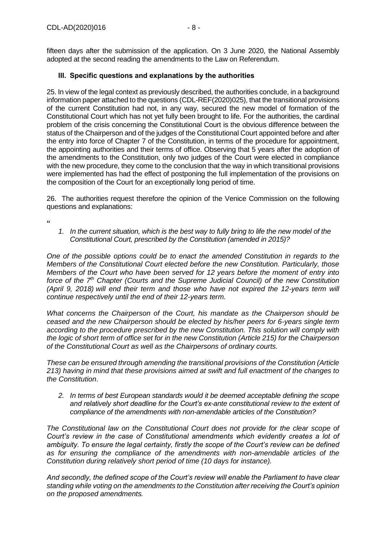fifteen days after the submission of the application. On 3 June 2020, the National Assembly adopted at the second reading the amendments to the Law on Referendum.

#### <span id="page-7-0"></span>**III. Specific questions and explanations by the authorities**

25. In view of the legal context as previously described, the authorities conclude, in a background information paper attached to the questions (CDL-REF(2020)025), that the transitional provisions of the current Constitution had not, in any way, secured the new model of formation of the Constitutional Court which has not yet fully been brought to life. For the authorities, the cardinal problem of the crisis concerning the Constitutional Court is the obvious difference between the status of the Chairperson and of the judges of the Constitutional Court appointed before and after the entry into force of Chapter 7 of the Constitution, in terms of the procedure for appointment, the appointing authorities and their terms of office. Observing that 5 years after the adoption of the amendments to the Constitution, only two judges of the Court were elected in compliance with the new procedure, they come to the conclusion that the way in which transitional provisions were implemented has had the effect of postponing the full implementation of the provisions on the composition of the Court for an exceptionally long period of time.

26. The authorities request therefore the opinion of the Venice Commission on the following questions and explanations:

**"**

*1. In the current situation, which is the best way to fully bring to life the new model of the Constitutional Court, prescribed by the Constitution (amended in 2015)?* 

*One of the possible options could be to enact the amended Constitution in regards to the Members of the Constitutional Court elected before the new Constitution. Particularly, those Members of the Court who have been served for 12 years before the moment of entry into force of the 7th Chapter (Courts and the Supreme Judicial Council) of the new Constitution (April 9, 2018) will end their term and those who have not expired the 12-years term will continue respectively until the end of their 12-years term.*

*What concerns the Chairperson of the Court, his mandate as the Chairperson should be ceased and the new Chairperson should be elected by his/her peers for 6-years single term*  according to the procedure prescribed by the new Constitution. This solution will comply with *the logic of short term of office set for in the new Constitution (Article 215) for the Chairperson of the Constitutional Court as well as the Chairpersons of ordinary courts.*

*These can be ensured through amending the transitional provisions of the Constitution (Article 213) having in mind that these provisions aimed at swift and full enactment of the changes to the Constitution*.

*2. In terms of best European standards would it be deemed acceptable defining the scope and relatively short deadline for the Court's ex-ante constitutional review to the extent of compliance of the amendments with non-amendable articles of the Constitution?* 

*The Constitutional law on the Constitutional Court does not provide for the clear scope of Court's review in the case of Constitutional amendments which evidently creates a lot of ambiguity. To ensure the legal certainty, firstly the scope of the Court's review can be defined as for ensuring the compliance of the amendments with non-amendable articles of the Constitution during relatively short period of time (10 days for instance).*

*And secondly, the defined scope of the Court's review will enable the Parliament to have clear standing while voting on the amendments to the Constitution after receiving the Court's opinion on the proposed amendments.*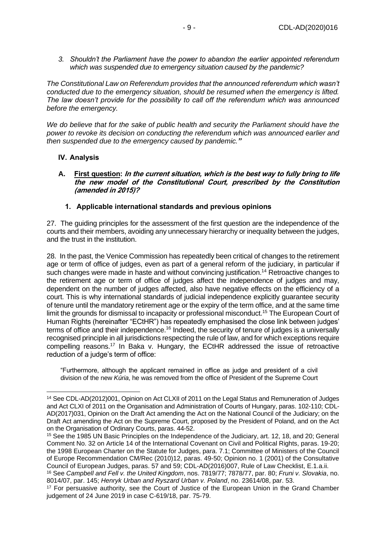*3. Shouldn't the Parliament have the power to abandon the earlier appointed referendum which was suspended due to emergency situation caused by the pandemic?* 

*The Constitutional Law on Referendum provides that the announced referendum which wasn't conducted due to the emergency situation, should be resumed when the emergency is lifted. The law doesn't provide for the possibility to call off the referendum which was announced before the emergency.* 

*We do believe that for the sake of public health and security the Parliament should have the power to revoke its decision on conducting the referendum which was announced earlier and then suspended due to the emergency caused by pandemic."*

#### <span id="page-8-0"></span>**IV. Analysis**

<span id="page-8-1"></span>**A. First question: In the current situation, which is the best way to fully bring to life the new model of the Constitutional Court, prescribed by the Constitution (amended in 2015)?** 

#### **1. Applicable international standards and previous opinions**

<span id="page-8-2"></span>27. The guiding principles for the assessment of the first question are the independence of the courts and their members, avoiding any unnecessary hierarchy or inequality between the judges, and the trust in the institution.

28. In the past, the Venice Commission has repeatedly been critical of changes to the retirement age or term of office of judges, even as part of a general reform of the judiciary, in particular if such changes were made in haste and without convincing justification.<sup>14</sup> Retroactive changes to the retirement age or term of office of judges affect the independence of judges and may, dependent on the number of judges affected, also have negative effects on the efficiency of a court. This is why international standards of judicial independence explicitly guarantee security of tenure until the mandatory retirement age or the expiry of the term office, and at the same time limit the grounds for dismissal to incapacity or professional misconduct.<sup>15</sup> The European Court of Human Rights (hereinafter "ECtHR") has repeatedly emphasised the close link between judges' terms of office and their independence.<sup>16</sup> Indeed, the security of tenure of judges is a universally recognised principle in all jurisdictions respecting the rule of law, and for which exceptions require compelling reasons.<sup>17</sup> In Baka v. Hungary, the ECtHR addressed the issue of retroactive reduction of a judge's term of office:

"Furthermore, although the applicant remained in office as judge and president of a civil division of the new *Kúria*, he was removed from the office of President of the Supreme Court

<sup>14</sup> See CDL-AD(2012)001, Opinion on Act CLXII of 2011 on the Legal Status and Remuneration of Judges and Act CLXI of 2011 on the Organisation and Administration of Courts of Hungary, paras. 102-110; CDL-AD(2017)031, Opinion on the Draft Act amending the Act on the National Council of the Judiciary; on the Draft Act amending the Act on the Supreme Court, proposed by the President of Poland, and on the Act on the Organisation of Ordinary Courts, paras. 44-52.

<sup>15</sup> See the 1985 UN Basic Principles on the Independence of the Judiciary, art. 12, 18, and 20; General Comment No. 32 on Article 14 of the International Covenant on Civil and Political Rights, paras. 19-20; the 1998 European Charter on the Statute for Judges, para. 7.1; Committee of Ministers of the Council of Europe Recommendation CM/Rec (2010)12, paras. 49-50; Opinion no. 1 (2001) of the Consultative Council of European Judges, paras. 57 and 59; CDL-AD(2016)007, Rule of Law Checklist, E.1.a.ii.

<sup>16</sup> See *Campbell and Fell v. the United Kingdom*, nos. 7819/77; 7878/77, par. 80; *Fruni v. Slovakia*, no. 8014/07, par. 145; *Henryk Urban and Ryszard Urban v. Poland*, no. 23614/08, par. 53.

<sup>&</sup>lt;sup>17</sup> For persuasive authority, see the Court of Justice of the European Union in the Grand Chamber judgement of 24 June 2019 in case C-619/18, par. 75-79.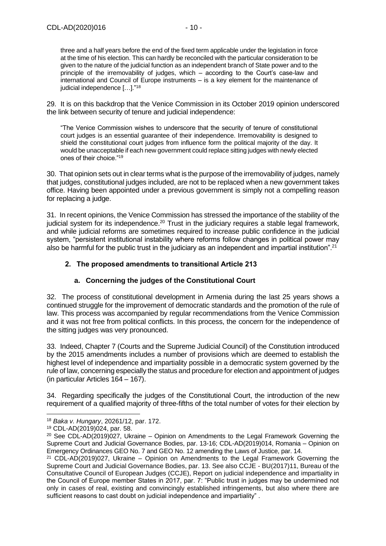three and a half years before the end of the fixed term applicable under the legislation in force at the time of his election. This can hardly be reconciled with the particular consideration to be given to the nature of the judicial function as an independent branch of State power and to the principle of the irremovability of judges, which – according to the Court's case-law and international and Council of Europe instruments – is a key element for the maintenance of judicial independence […]."<sup>18</sup>

29. It is on this backdrop that the Venice Commission in its October 2019 opinion underscored the link between security of tenure and judicial independence:

"The Venice Commission wishes to underscore that the security of tenure of constitutional court judges is an essential guarantee of their independence. Irremovability is designed to shield the constitutional court judges from influence form the political majority of the day. It would be unacceptable if each new government could replace sitting judges with newly elected ones of their choice."<sup>19</sup>

30. That opinion sets out in clear terms what is the purpose of the irremovability of judges, namely that judges, constitutional judges included, are not to be replaced when a new government takes office. Having been appointed under a previous government is simply not a compelling reason for replacing a judge.

31. In recent opinions, the Venice Commission has stressed the importance of the stability of the judicial system for its independence.<sup>20</sup> Trust in the judiciary requires a stable legal framework, and while judicial reforms are sometimes required to increase public confidence in the judicial system, "persistent institutional instability where reforms follow changes in political power may also be harmful for the public trust in the judiciary as an independent and impartial institution".<sup>21</sup>

#### <span id="page-9-0"></span>**2. The proposed amendments to transitional Article 213**

#### **a. Concerning the judges of the Constitutional Court**

32. The process of constitutional development in Armenia during the last 25 years shows a continued struggle for the improvement of democratic standards and the promotion of the rule of law. This process was accompanied by regular recommendations from the Venice Commission and it was not free from political conflicts. In this process, the concern for the independence of the sitting judges was very pronounced.

33. Indeed, Chapter 7 (Courts and the Supreme Judicial Council) of the Constitution introduced by the 2015 amendments includes a number of provisions which are deemed to establish the highest level of independence and impartiality possible in a democratic system governed by the rule of law, concerning especially the status and procedure for election and appointment of judges (in particular Articles 164 – 167).

34. Regarding specifically the judges of the Constitutional Court, the introduction of the new requirement of a qualified majority of three-fifths of the total number of votes for their election by

<sup>18</sup> *Baka v. Hungary*, 20261/12, par. 172.

<sup>19</sup> CDL-AD(2019)024, par. 58.

<sup>&</sup>lt;sup>20</sup> See CDL-AD(2019)027, Ukraine – Opinion on Amendments to the Legal Framework Governing the Supreme Court and Judicial Governance Bodies, par. 13-16; CDL-AD(2019)014, Romania – Opinion on Emergency Ordinances GEO No. 7 and GEO No. 12 amending the Laws of Justice, par. 14.

 $21$  CDL-AD(2019)027, Ukraine – Opinion on Amendments to the Legal Framework Governing the Supreme Court and Judicial Governance Bodies, par. 13. See also CCJE - BU(2017)11, Bureau of the Consultative Council of European Judges (CCJE), Report on judicial independence and impartiality in the Council of Europe member States in 2017, par. 7: "Public trust in judges may be undermined not only in cases of real, existing and convincingly established infringements, but also where there are sufficient reasons to cast doubt on judicial independence and impartiality" .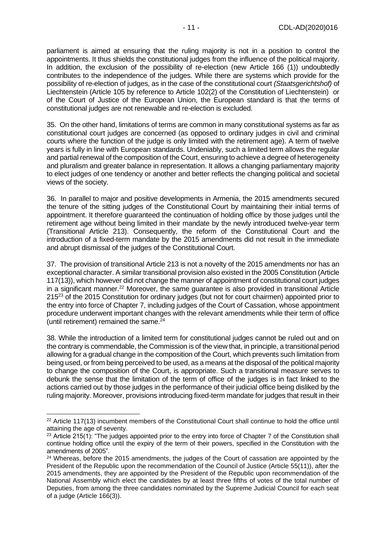parliament is aimed at ensuring that the ruling majority is not in a position to control the appointments. It thus shields the constitutional judges from the influence of the political majority. In addition, the exclusion of the possibility of re-election (new Article 166 (1)) undoubtedly contributes to the independence of the judges. While there are systems which provide for the possibility of re-election of judges, as in the case of the constitutional court *(Staatsgerichtshof)* of Liechtenstein (Article 105 by reference to Article 102(2) of the Constitution of Liechtenstein) or of the Court of Justice of the European Union, the European standard is that the terms of constitutional judges are not renewable and re-election is excluded.

35. On the other hand, limitations of terms are common in many constitutional systems as far as constitutional court judges are concerned (as opposed to ordinary judges in civil and criminal courts where the function of the judge is only limited with the retirement age). A term of twelve years is fully in line with European standards. Undeniably, such a limited term allows the regular and partial renewal of the composition of the Court, ensuring to achieve a degree of heterogeneity and pluralism and greater balance in representation. It allows a changing parliamentary majority to elect judges of one tendency or another and better reflects the changing political and societal views of the society.

36. In parallel to major and positive developments in Armenia, the 2015 amendments secured the tenure of the sitting judges of the Constitutional Court by maintaining their initial terms of appointment. It therefore guaranteed the continuation of holding office by those judges until the retirement age without being limited in their mandate by the newly introduced twelve-year term (Transitional Article 213). Consequently, the reform of the Constitutional Court and the introduction of a fixed-term mandate by the 2015 amendments did not result in the immediate and abrupt dismissal of the judges of the Constitutional Court.

37. The provision of transitional Article 213 is not a novelty of the 2015 amendments nor has an exceptional character. A similar transitional provision also existed in the 2005 Constitution (Article 117(13)), which however did not change the manner of appointment of constitutional court judges in a significant manner. <sup>22</sup> Moreover, the same guarantee is also provided in transitional Article 215<sup>23</sup> of the 2015 Constitution for ordinary judges (but not for court chairmen) appointed prior to the entry into force of Chapter 7, including judges of the Court of Cassation, whose appointment procedure underwent important changes with the relevant amendments while their term of office (until retirement) remained the same. 24

38. While the introduction of a limited term for constitutional judges cannot be ruled out and on the contrary is commendable, the Commission is of the view that, in principle, a transitional period allowing for a gradual change in the composition of the Court, which prevents such limitation from being used, or from being perceived to be used, as a means at the disposal of the political majority to change the composition of the Court, is appropriate. Such a transitional measure serves to debunk the sense that the limitation of the term of office of the judges is in fact linked to the actions carried out by those judges in the performance of their judicial office being disliked by the ruling majority. Moreover, provisions introducing fixed-term mandate for judges that result in their

<sup>&</sup>lt;sup>22</sup> Article 117(13) incumbent members of the Constitutional Court shall continue to hold the office until attaining the age of seventy.

<sup>&</sup>lt;sup>23</sup> Article 215(1): "The judges appointed prior to the entry into force of Chapter 7 of the Constitution shall continue holding office until the expiry of the term of their powers, specified in the Constitution with the amendments of 2005".

 $24$  Whereas, before the 2015 amendments, the judges of the Court of cassation are appointed by the President of the Republic upon the recommendation of the Council of Justice (Article 55(11)), after the 2015 amendments, they are appointed by the President of the Republic upon recommendation of the National Assembly which elect the candidates by at least three fifths of votes of the total number of Deputies, from among the three candidates nominated by the Supreme Judicial Council for each seat of a judge (Article 166(3)).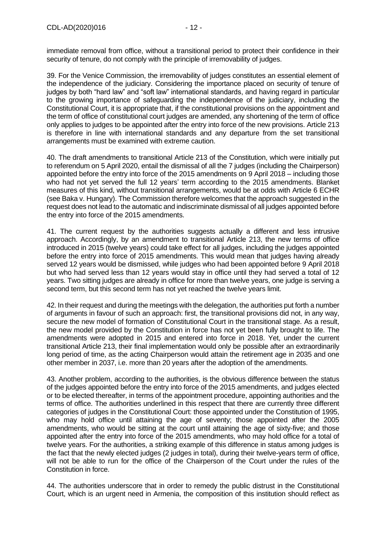immediate removal from office, without a transitional period to protect their confidence in their security of tenure, do not comply with the principle of irremovability of judges.

39. For the Venice Commission, the irremovability of judges constitutes an essential element of the independence of the judiciary. Considering the importance placed on security of tenure of judges by both "hard law" and "soft law" international standards, and having regard in particular to the growing importance of safeguarding the independence of the judiciary, including the Constitutional Court, it is appropriate that, if the constitutional provisions on the appointment and the term of office of constitutional court judges are amended, any shortening of the term of office only applies to judges to be appointed after the entry into force of the new provisions. Article 213 is therefore in line with international standards and any departure from the set transitional arrangements must be examined with extreme caution.

40. The draft amendments to transitional Article 213 of the Constitution, which were initially put to referendum on 5 April 2020, entail the dismissal of all the 7 judges (including the Chairperson) appointed before the entry into force of the 2015 amendments on 9 April 2018 – including those who had not yet served the full 12 years' term according to the 2015 amendments. Blanket measures of this kind, without transitional arrangements, would be at odds with Article 6 ECHR (see Baka v. Hungary). The Commission therefore welcomes that the approach suggested in the request does not lead to the automatic and indiscriminate dismissal of all judges appointed before the entry into force of the 2015 amendments.

41. The current request by the authorities suggests actually a different and less intrusive approach. Accordingly, by an amendment to transitional Article 213, the new terms of office introduced in 2015 (twelve years) could take effect for all judges, including the judges appointed before the entry into force of 2015 amendments. This would mean that judges having already served 12 years would be dismissed, while judges who had been appointed before 9 April 2018 but who had served less than 12 years would stay in office until they had served a total of 12 years. Two sitting judges are already in office for more than twelve years, one judge is serving a second term, but this second term has not yet reached the twelve years limit.

42. In their request and during the meetings with the delegation, the authorities put forth a number of arguments in favour of such an approach: first, the transitional provisions did not, in any way, secure the new model of formation of Constitutional Court in the transitional stage. As a result, the new model provided by the Constitution in force has not yet been fully brought to life. The amendments were adopted in 2015 and entered into force in 2018. Yet, under the current transitional Article 213, their final implementation would only be possible after an extraordinarily long period of time, as the acting Chairperson would attain the retirement age in 2035 and one other member in 2037, i.e. more than 20 years after the adoption of the amendments.

43. Another problem, according to the authorities, is the obvious difference between the status of the judges appointed before the entry into force of the 2015 amendments, and judges elected or to be elected thereafter, in terms of the appointment procedure, appointing authorities and the terms of office. The authorities underlined in this respect that there are currently three different categories of judges in the Constitutional Court: those appointed under the Constitution of 1995, who may hold office until attaining the age of seventy; those appointed after the 2005 amendments, who would be sitting at the court until attaining the age of sixty-five; and those appointed after the entry into force of the 2015 amendments, who may hold office for a total of twelve years. For the authorities, a striking example of this difference in status among judges is the fact that the newly elected judges (2 judges in total), during their twelve-years term of office, will not be able to run for the office of the Chairperson of the Court under the rules of the Constitution in force.

44. The authorities underscore that in order to remedy the public distrust in the Constitutional Court, which is an urgent need in Armenia, the composition of this institution should reflect as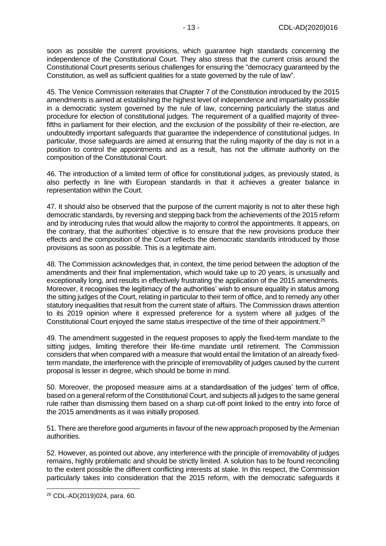soon as possible the current provisions, which guarantee high standards concerning the independence of the Constitutional Court. They also stress that the current crisis around the Constitutional Court presents serious challenges for ensuring the "democracy guaranteed by the Constitution, as well as sufficient qualities for a state governed by the rule of law".

45. The Venice Commission reiterates that Chapter 7 of the Constitution introduced by the 2015 amendments is aimed at establishing the highest level of independence and impartiality possible in a democratic system governed by the rule of law, concerning particularly the status and procedure for election of constitutional judges. The requirement of a qualified majority of threefifths in parliament for their election, and the exclusion of the possibility of their re-election, are undoubtedly important safeguards that guarantee the independence of constitutional judges. In particular, those safeguards are aimed at ensuring that the ruling majority of the day is not in a position to control the appointments and as a result, has not the ultimate authority on the composition of the Constitutional Court.

46. The introduction of a limited term of office for constitutional judges, as previously stated, is also perfectly in line with European standards in that it achieves a greater balance in representation within the Court.

47. It should also be observed that the purpose of the current majority is not to alter these high democratic standards, by reversing and stepping back from the achievements of the 2015 reform and by introducing rules that would allow the majority to control the appointments. It appears, on the contrary, that the authorities' objective is to ensure that the new provisions produce their effects and the composition of the Court reflects the democratic standards introduced by those provisions as soon as possible. This is a legitimate aim.

48. The Commission acknowledges that, in context, the time period between the adoption of the amendments and their final implementation, which would take up to 20 years, is unusually and exceptionally long, and results in effectively frustrating the application of the 2015 amendments. Moreover, it recognises the legitimacy of the authorities' wish to ensure equality in status among the sitting judges of the Court, relating in particular to their term of office, and to remedy any other statutory inequalities that result from the current state of affairs. The Commission draws attention to its 2019 opinion where it expressed preference for a system where all judges of the Constitutional Court enjoyed the same status irrespective of the time of their appointment.<sup>25</sup>

49. The amendment suggested in the request proposes to apply the fixed-term mandate to the sitting judges, limiting therefore their life-time mandate until retirement. The Commission considers that when compared with a measure that would entail the limitation of an already fixedterm mandate, the interference with the principle of irremovability of judges caused by the current proposal is lesser in degree, which should be borne in mind.

50. Moreover, the proposed measure aims at a standardisation of the judges' term of office, based on a general reform of the Constitutional Court, and subjects all judges to the same general rule rather than dismissing them based on a sharp cut-off point linked to the entry into force of the 2015 amendments as it was initially proposed.

51. There are therefore good arguments in favour of the new approach proposed by the Armenian authorities.

52. However, as pointed out above, any interference with the principle of irremovability of judges remains, highly problematic and should be strictly limited. A solution has to be found reconciling to the extent possible the different conflicting interests at stake. In this respect, the Commission particularly takes into consideration that the 2015 reform, with the democratic safeguards it

<sup>25</sup> CDL-AD(2019)024, para. 60.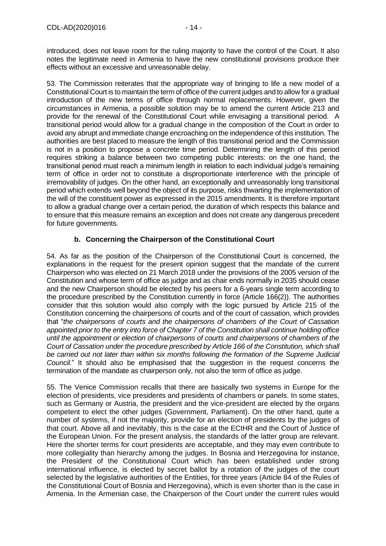introduced, does not leave room for the ruling majority to have the control of the Court. It also notes the legitimate need in Armenia to have the new constitutional provisions produce their effects without an excessive and unreasonable delay.

53. The Commission reiterates that the appropriate way of bringing to life a new model of a Constitutional Court is to maintain the term of office of the current judges and to allow for a gradual introduction of the new terms of office through normal replacements. However, given the circumstances in Armenia, a possible solution may be to amend the current Article 213 and provide for the renewal of the Constitutional Court while envisaging a transitional period. A transitional period would allow for a gradual change in the composition of the Court in order to avoid any abrupt and immediate change encroaching on the independence of this institution. The authorities are best placed to measure the length of this transitional period and the Commission is not in a position to propose a concrete time period. Determining the length of this period requires striking a balance between two competing public interests: on the one hand, the transitional period must reach a minimum length in relation to each individual judge's remaining term of office in order not to constitute a disproportionate interference with the principle of irremovability of judges. On the other hand, an exceptionally and unreasonably long transitional period which extends well beyond the object of its purpose, risks thwarting the implementation of the will of the constituent power as expressed in the 2015 amendments. It is therefore important to allow a gradual change over a certain period, the duration of which respects this balance and to ensure that this measure remains an exception and does not create any dangerous precedent for future governments.

#### **b. Concerning the Chairperson of the Constitutional Court**

54. As far as the position of the Chairperson of the Constitutional Court is concerned, the explanations in the request for the present opinion suggest that the mandate of the current Chairperson who was elected on 21 March 2018 under the provisions of the 2005 version of the Constitution and whose term of office as judge and as chair ends normally in 2035 should cease and the new Chairperson should be elected by his peers for a 6-years single term according to the procedure prescribed by the Constitution currently in force (Article 166(2)). The authorities consider that this solution would also comply with the logic pursued by Article 215 of the Constitution concerning the chairpersons of courts and of the court of cassation, which provides that "*the chairpersons of courts and the chairpersons of chambers of the Court of Cassation appointed prior to the entry into force of Chapter 7 of the Constitution shall continue holding office until the appointment or election of chairpersons of courts and chairpersons of chambers of the Court of Cassation under the procedure prescribed by Article 166 of the Constitution, which shall be carried out not later than within six months following the formation of the Supreme Judicial Council.*" It should also be emphasised that the suggestion in the request concerns the termination of the mandate as chairperson only, not also the term of office as judge.

55. The Venice Commission recalls that there are basically two systems in Europe for the election of presidents, vice presidents and presidents of chambers or panels. In some states, such as Germany or Austria, the president and the vice-president are elected by the organs competent to elect the other judges (Government, Parliament). On the other hand, quite a number of systems, if not the majority, provide for an election of presidents by the judges of that court. Above all and inevitably, this is the case at the ECtHR and the Court of Justice of the European Union. For the present analysis, the standards of the latter group are relevant. Here the shorter terms for court presidents are acceptable, and they may even contribute to more collegiality than hierarchy among the judges. In Bosnia and Herzegovina for instance, the President of the Constitutional Court which has been established under strong international influence, is elected by secret ballot by a rotation of the judges of the court selected by the legislative authorities of the Entities, for three years (Article 84 of the Rules of the Constitutional Court of Bosnia and Herzegovina), which is even shorter than is the case in Armenia. In the Armenian case, the Chairperson of the Court under the current rules would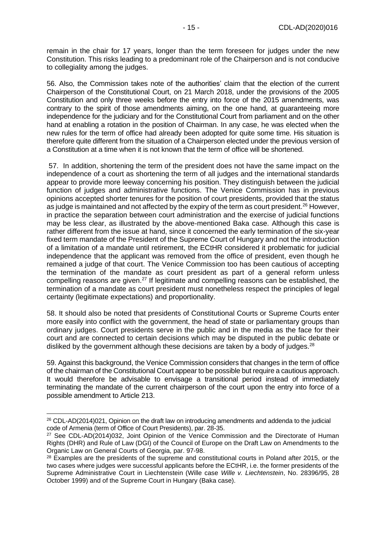remain in the chair for 17 years, longer than the term foreseen for judges under the new Constitution. This risks leading to a predominant role of the Chairperson and is not conducive to collegiality among the judges.

56. Also, the Commission takes note of the authorities' claim that the election of the current Chairperson of the Constitutional Court, on 21 March 2018, under the provisions of the 2005 Constitution and only three weeks before the entry into force of the 2015 amendments, was contrary to the spirit of those amendments aiming, on the one hand, at guaranteeing more independence for the judiciary and for the Constitutional Court from parliament and on the other hand at enabling a rotation in the position of Chairman. In any case, he was elected when the new rules for the term of office had already been adopted for quite some time. His situation is therefore quite different from the situation of a Chairperson elected under the previous version of a Constitution at a time when it is not known that the term of office will be shortened.

57. In addition, shortening the term of the president does not have the same impact on the independence of a court as shortening the term of all judges and the international standards appear to provide more leeway concerning his position. They distinguish between the judicial function of judges and administrative functions. The Venice Commission has in previous opinions accepted shorter tenures for the position of court presidents, provided that the status as judge is maintained and not affected by the expiry of the term as court president.<sup>26</sup> However, in practice the separation between court administration and the exercise of judicial functions may be less clear, as illustrated by the above-mentioned Baka case. Although this case is rather different from the issue at hand, since it concerned the early termination of the six-year fixed term mandate of the President of the Supreme Court of Hungary and not the introduction of a limitation of a mandate until retirement, the ECtHR considered it problematic for judicial independence that the applicant was removed from the office of president, even though he remained a judge of that court. The Venice Commission too has been cautious of accepting the termination of the mandate as court president as part of a general reform unless compelling reasons are given.<sup>27</sup> If legitimate and compelling reasons can be established, the termination of a mandate as court president must nonetheless respect the principles of legal certainty (legitimate expectations) and proportionality.

58. It should also be noted that presidents of Constitutional Courts or Supreme Courts enter more easily into conflict with the government, the head of state or parliamentary groups than ordinary judges. Court presidents serve in the public and in the media as the face for their court and are connected to certain decisions which may be disputed in the public debate or disliked by the government although these decisions are taken by a body of judges.<sup>28</sup>

59. Against this background, the Venice Commission considers that changes in the term of office of the chairman of the Constitutional Court appear to be possible but require a cautious approach. It would therefore be advisable to envisage a transitional period instead of immediately terminating the mandate of the current chairperson of the court upon the entry into force of a possible amendment to Article 213.

<sup>26</sup> CDL-AD(2014)021, Opinion on the draft law on introducing amendments and addenda to the judicial code of Armenia (term of Office of Court Presidents), par. 28-35.

<sup>&</sup>lt;sup>27</sup> See CDL-AD(2014)032, Joint Opinion of the Venice Commission and the Directorate of Human Rights (DHR) and Rule of Law (DGI) of the Council of Europe on the Draft Law on Amendments to the Organic Law on General Courts of Georgia, par. 97-98.

<sup>&</sup>lt;sup>28</sup> Examples are the presidents of the supreme and constitutional courts in Poland after 2015, or the two cases where judges were successful applicants before the ECtHR, i.e. the former presidents of the Supreme Administrative Court in Liechtenstein (Wille case *Wille v. Liechtenstein*, No. 28396/95, 28 October 1999) and of the Supreme Court in Hungary (Baka case).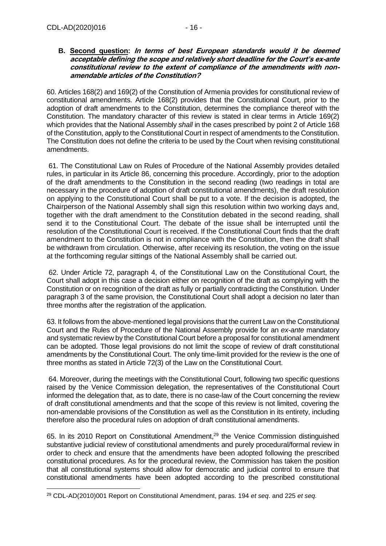#### <span id="page-15-0"></span>**B. Second question: In terms of best European standards would it be deemed acceptable defining the scope and relatively short deadline for the Court's ex-ante constitutional review to the extent of compliance of the amendments with nonamendable articles of the Constitution?**

60. Articles 168(2) and 169(2) of the Constitution of Armenia provides for constitutional review of constitutional amendments. Article 168(2) provides that the Constitutional Court, prior to the adoption of draft amendments to the Constitution, determines the compliance thereof with the Constitution. The mandatory character of this review is stated in clear terms in Article 169(2) which provides that the National Assembly *shall* in the cases prescribed by point 2 of Article 168 of the Constitution, apply to the Constitutional Court in respect of amendments to the Constitution. The Constitution does not define the criteria to be used by the Court when revising constitutional amendments.

61. The Constitutional Law on Rules of Procedure of the National Assembly provides detailed rules, in particular in its Article 86, concerning this procedure. Accordingly, prior to the adoption of the draft amendments to the Constitution in the second reading (two readings in total are necessary in the procedure of adoption of draft constitutional amendments), the draft resolution on applying to the Constitutional Court shall be put to a vote. If the decision is adopted, the Chairperson of the National Assembly shall sign this resolution within two working days and, together with the draft amendment to the Constitution debated in the second reading, shall send it to the Constitutional Court. The debate of the issue shall be interrupted until the resolution of the Constitutional Court is received. If the Constitutional Court finds that the draft amendment to the Constitution is not in compliance with the Constitution, then the draft shall be withdrawn from circulation. Otherwise, after receiving its resolution, the voting on the issue at the forthcoming regular sittings of the National Assembly shall be carried out.

62. Under Article 72, paragraph 4, of the Constitutional Law on the Constitutional Court, the Court shall adopt in this case a decision either on recognition of the draft as complying with the Constitution or on recognition of the draft as fully or partially contradicting the Constitution. Under paragraph 3 of the same provision, the Constitutional Court shall adopt a decision no later than three months after the registration of the application.

63. It follows from the above-mentioned legal provisions that the current Law on the Constitutional Court and the Rules of Procedure of the National Assembly provide for an *ex-ante* mandatory and systematic review by the Constitutional Court before a proposal for constitutional amendment can be adopted. Those legal provisions do not limit the scope of review of draft constitutional amendments by the Constitutional Court. The only time-limit provided for the review is the one of three months as stated in Article 72(3) of the Law on the Constitutional Court.

64. Moreover, during the meetings with the Constitutional Court, following two specific questions raised by the Venice Commission delegation, the representatives of the Constitutional Court informed the delegation that, as to date, there is no case-law of the Court concerning the review of draft constitutional amendments and that the scope of this review is not limited, covering the non-amendable provisions of the Constitution as well as the Constitution in its entirety, including therefore also the procedural rules on adoption of draft constitutional amendments.

65. In its 2010 Report on Constitutional Amendment, <sup>29</sup> the Venice Commission distinguished substantive judicial review of constitutional amendments and purely procedural/formal review in order to check and ensure that the amendments have been adopted following the prescribed constitutional procedures. As for the procedural review, the Commission has taken the position that all constitutional systems should allow for democratic and judicial control to ensure that constitutional amendments have been adopted according to the prescribed constitutional

<sup>29</sup> CDL-AD(2010)001 Report on Constitutional Amendment, paras. 194 *et seq*. and 225 *et seq.*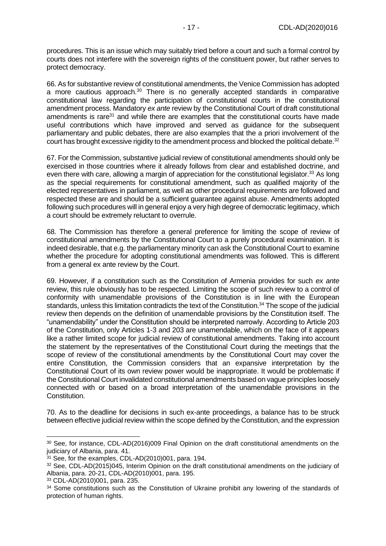procedures. This is an issue which may suitably tried before a court and such a formal control by courts does not interfere with the sovereign rights of the constituent power, but rather serves to protect democracy.

66. As for substantive review of constitutional amendments, the Venice Commission has adopted a more cautious approach.<sup>30</sup> There is no generally accepted standards in comparative constitutional law regarding the participation of constitutional courts in the constitutional amendment process. Mandatory *ex ante* review by the Constitutional Court of draft constitutional amendments is rare<sup>31</sup> and while there are examples that the constitutional courts have made useful contributions which have improved and served as guidance for the subsequent parliamentary and public debates, there are also examples that the a priori involvement of the court has brought excessive rigidity to the amendment process and blocked the political debate.<sup>32</sup>

67. For the Commission, substantive judicial review of constitutional amendments should only be exercised in those countries where it already follows from clear and established doctrine, and even there with care, allowing a margin of appreciation for the constitutional legislator.<sup>33</sup> As long as the special requirements for constitutional amendment, such as qualified majority of the elected representatives in parliament, as well as other procedural requirements are followed and respected these are and should be a sufficient guarantee against abuse. Amendments adopted following such procedures will in general enjoy a very high degree of democratic legitimacy, which a court should be extremely reluctant to overrule.

68. The Commission has therefore a general preference for limiting the scope of review of constitutional amendments by the Constitutional Court to a purely procedural examination. It is indeed desirable, that e.g. the parliamentary minority can ask the Constitutional Court to examine whether the procedure for adopting constitutional amendments was followed. This is different from a general ex ante review by the Court.

69. However, if a constitution such as the Constitution of Armenia provides for such *ex ante* review, this rule obviously has to be respected. Limiting the scope of such review to a control of conformity with unamendable provisions of the Constitution is in line with the European standards, unless this limitation contradicts the text of the Constitution.<sup>34</sup> The scope of the judicial review then depends on the definition of unamendable provisions by the Constitution itself. The "unamendability" under the Constitution should be interpreted narrowly. According to Article 203 of the Constitution, only Articles 1-3 and 203 are unamendable, which on the face of it appears like a rather limited scope for judicial review of constitutional amendments. Taking into account the statement by the representatives of the Constitutional Court during the meetings that the scope of review of the constitutional amendments by the Constitutional Court may cover the entire Constitution, the Commission considers that an expansive interpretation by the Constitutional Court of its own review power would be inappropriate. It would be problematic if the Constitutional Court invalidated constitutional amendments based on vague principles loosely connected with or based on a broad interpretation of the unamendable provisions in the Constitution.

70. As to the deadline for decisions in such ex-ante proceedings, a balance has to be struck between effective judicial review within the scope defined by the Constitution, and the expression

<sup>30</sup> See, for instance, CDL-AD(2016)009 Final Opinion on the draft constitutional amendments on the judiciary of Albania, para. 41.

<sup>&</sup>lt;sup>31</sup> See, for the examples, CDL-AD(2010)001, para, 194.

<sup>&</sup>lt;sup>32</sup> See, CDL-AD(2015)045, Interim Opinion on the draft constitutional amendments on the judiciary of Albania, para. 20-21, CDL-AD(2010)001, para. 195.

<sup>33</sup> CDL-AD(2010)001, para. 235.

<sup>&</sup>lt;sup>34</sup> Some constitutions such as the Constitution of Ukraine prohibit any lowering of the standards of protection of human rights.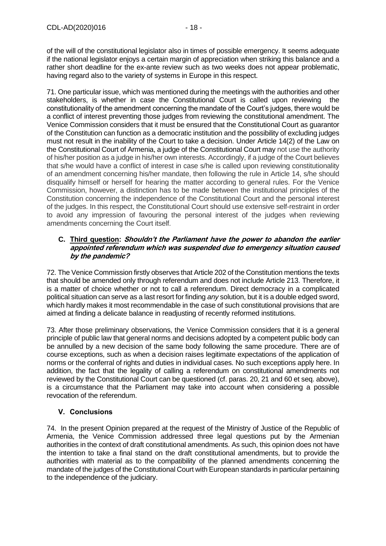of the will of the constitutional legislator also in times of possible emergency. It seems adequate if the national legislator enjoys a certain margin of appreciation when striking this balance and a rather short deadline for the ex-ante review such as two weeks does not appear problematic, having regard also to the variety of systems in Europe in this respect.

71. One particular issue, which was mentioned during the meetings with the authorities and other stakeholders, is whether in case the Constitutional Court is called upon reviewing the constitutionality of the amendment concerning the mandate of the Court's judges, there would be a conflict of interest preventing those judges from reviewing the constitutional amendment. The Venice Commission considers that it must be ensured that the Constitutional Court as guarantor of the Constitution can function as a democratic institution and the possibility of excluding judges must not result in the inability of the Court to take a decision. Under Article 14(2) of the Law on the Constitutional Court of Armenia, a judge of the Constitutional Court may not use the authority of his/her position as a judge in his/her own interests. Accordingly, if a judge of the Court believes that s/he would have a conflict of interest in case s/he is called upon reviewing constitutionality of an amendment concerning his/her mandate, then following the rule in Article 14, s/he should disqualify himself or herself for hearing the matter according to general rules. For the Venice Commission, however, a distinction has to be made between the institutional principles of the Constitution concerning the independence of the Constitutional Court and the personal interest of the judges. In this respect, the Constitutional Court should use extensive self-restraint in order to avoid any impression of favouring the personal interest of the judges when reviewing amendments concerning the Court itself.

#### <span id="page-17-0"></span>**C. Third question: Shouldn't the Parliament have the power to abandon the earlier appointed referendum which was suspended due to emergency situation caused by the pandemic?**

72. The Venice Commission firstly observes that Article 202 of the Constitution mentions the texts that should be amended only through referendum and does not include Article 213. Therefore, it is a matter of choice whether or not to call a referendum. Direct democracy in a complicated political situation can serve as a last resort for finding *any* solution, but it is a double edged sword, which hardly makes it most recommendable in the case of such constitutional provisions that are aimed at finding a delicate balance in readjusting of recently reformed institutions.

73. After those preliminary observations, the Venice Commission considers that it is a general principle of public law that general norms and decisions adopted by a competent public body can be annulled by a new decision of the same body following the same procedure. There are of course exceptions, such as when a decision raises legitimate expectations of the application of norms or the conferral of rights and duties in individual cases. No such exceptions apply here. In addition, the fact that the legality of calling a referendum on constitutional amendments not reviewed by the Constitutional Court can be questioned (cf. paras. 20, 21 and 60 et seq. above), is a circumstance that the Parliament may take into account when considering a possible revocation of the referendum.

#### <span id="page-17-1"></span>**V. Conclusions**

74. In the present Opinion prepared at the request of the Ministry of Justice of the Republic of Armenia, the Venice Commission addressed three legal questions put by the Armenian authorities in the context of draft constitutional amendments. As such, this opinion does not have the intention to take a final stand on the draft constitutional amendments, but to provide the authorities with material as to the compatibility of the planned amendments concerning the mandate of the judges of the Constitutional Court with European standards in particular pertaining to the independence of the judiciary.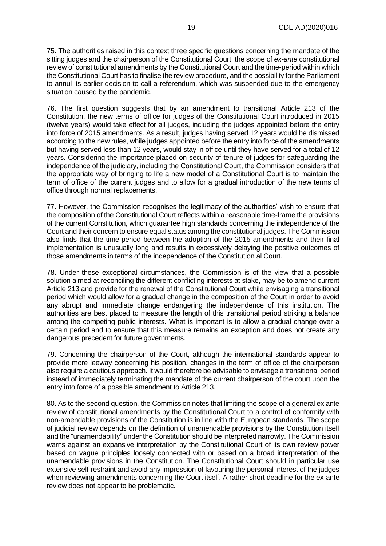75. The authorities raised in this context three specific questions concerning the mandate of the sitting judges and the chairperson of the Constitutional Court, the scope of *ex-ante* constitutional review of constitutional amendments by the Constitutional Court and the time-period within which the Constitutional Court has to finalise the review procedure, and the possibility for the Parliament to annul its earlier decision to call a referendum, which was suspended due to the emergency situation caused by the pandemic.

76. The first question suggests that by an amendment to transitional Article 213 of the Constitution, the new terms of office for judges of the Constitutional Court introduced in 2015 (twelve years) would take effect for all judges, including the judges appointed before the entry into force of 2015 amendments. As a result, judges having served 12 years would be dismissed according to the new rules, while judges appointed before the entry into force of the amendments but having served less than 12 years, would stay in office until they have served for a total of 12 years. Considering the importance placed on security of tenure of judges for safeguarding the independence of the judiciary, including the Constitutional Court, the Commission considers that the appropriate way of bringing to life a new model of a Constitutional Court is to maintain the term of office of the current judges and to allow for a gradual introduction of the new terms of office through normal replacements.

77. However, the Commission recognises the legitimacy of the authorities' wish to ensure that the composition of the Constitutional Court reflects within a reasonable time-frame the provisions of the current Constitution, which guarantee high standards concerning the independence of the Court and their concern to ensure equal status among the constitutional judges. The Commission also finds that the time-period between the adoption of the 2015 amendments and their final implementation is unusually long and results in excessively delaying the positive outcomes of those amendments in terms of the independence of the Constitution al Court.

78. Under these exceptional circumstances, the Commission is of the view that a possible solution aimed at reconciling the different conflicting interests at stake, may be to amend current Article 213 and provide for the renewal of the Constitutional Court while envisaging a transitional period which would allow for a gradual change in the composition of the Court in order to avoid any abrupt and immediate change endangering the independence of this institution. The authorities are best placed to measure the length of this transitional period striking a balance among the competing public interests. What is important is to allow a gradual change over a certain period and to ensure that this measure remains an exception and does not create any dangerous precedent for future governments.

79. Concerning the chairperson of the Court, although the international standards appear to provide more leeway concerning his position, changes in the term of office of the chairperson also require a cautious approach. It would therefore be advisable to envisage a transitional period instead of immediately terminating the mandate of the current chairperson of the court upon the entry into force of a possible amendment to Article 213.

80. As to the second question, the Commission notes that limiting the scope of a general ex ante review of constitutional amendments by the Constitutional Court to a control of conformity with non-amendable provisions of the Constitution is in line with the European standards. The scope of judicial review depends on the definition of unamendable provisions by the Constitution itself and the "unamendability" under the Constitution should be interpreted narrowly. The Commission warns against an expansive interpretation by the Constitutional Court of its own review power based on vague principles loosely connected with or based on a broad interpretation of the unamendable provisions in the Constitution. The Constitutional Court should in particular use extensive self-restraint and avoid any impression of favouring the personal interest of the judges when reviewing amendments concerning the Court itself. A rather short deadline for the ex-ante review does not appear to be problematic.